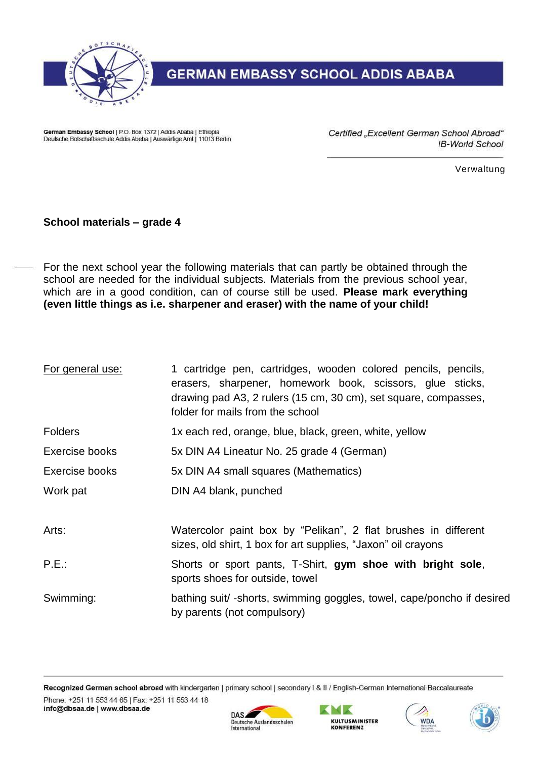

## **GERMAN EMBASSY SCHOOL ADDIS ABABA**

German Embassy School | P.O. Box 1372 | Addis Ababa | Ethiopia Deutsche Botschaftsschule Addis Abeba | Auswärtige Amt | 11013 Berlin Certified "Excellent German School Abroad" IB-World School

Verwaltung

## **School materials – grade 4**

For the next school year the following materials that can partly be obtained through the school are needed for the individual subjects. Materials from the previous school year, which are in a good condition, can of course still be used. **Please mark everything (even little things as i.e. sharpener and eraser) with the name of your child!**

| For general use: | 1 cartridge pen, cartridges, wooden colored pencils, pencils,<br>erasers, sharpener, homework book, scissors, glue sticks,<br>drawing pad A3, 2 rulers (15 cm, 30 cm), set square, compasses,<br>folder for mails from the school |
|------------------|-----------------------------------------------------------------------------------------------------------------------------------------------------------------------------------------------------------------------------------|
| <b>Folders</b>   | 1x each red, orange, blue, black, green, white, yellow                                                                                                                                                                            |
| Exercise books   | 5x DIN A4 Lineatur No. 25 grade 4 (German)                                                                                                                                                                                        |
| Exercise books   | 5x DIN A4 small squares (Mathematics)                                                                                                                                                                                             |
| Work pat         | DIN A4 blank, punched                                                                                                                                                                                                             |
| Arts:            | Watercolor paint box by "Pelikan", 2 flat brushes in different<br>sizes, old shirt, 1 box for art supplies, "Jaxon" oil crayons                                                                                                   |
| P.E.:            | Shorts or sport pants, T-Shirt, gym shoe with bright sole,<br>sports shoes for outside, towel                                                                                                                                     |
| Swimming:        | bathing suit/-shorts, swimming goggles, towel, cape/poncho if desired<br>by parents (not compulsory)                                                                                                                              |

Recognized German school abroad with kindergarten | primary school | secondary I & II / English-German International Baccalaureate Phone: +251 11 553 44 65 | Fax: +251 11 553 44 18 info@dbsaa.de | www.dbsaa.de KMK